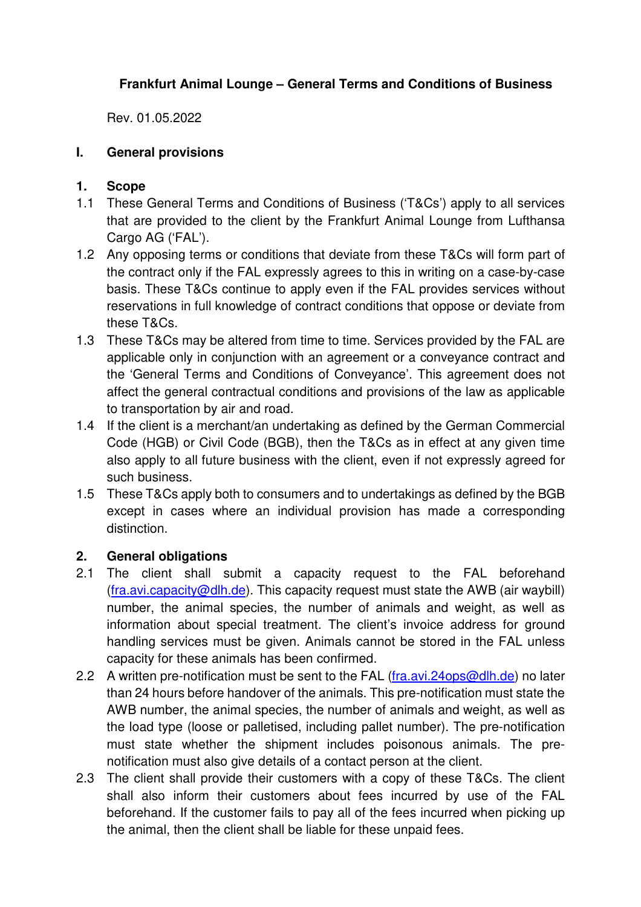# **Frankfurt Animal Lounge – General Terms and Conditions of Business**

Rev. 01.05.2022

## **I. General provisions**

## **1. Scope**

- 1.1 These General Terms and Conditions of Business ('T&Cs') apply to all services that are provided to the client by the Frankfurt Animal Lounge from Lufthansa Cargo AG ('FAL').
- 1.2 Any opposing terms or conditions that deviate from these T&Cs will form part of the contract only if the FAL expressly agrees to this in writing on a case-by-case basis. These T&Cs continue to apply even if the FAL provides services without reservations in full knowledge of contract conditions that oppose or deviate from these T&Cs.
- 1.3 These T&Cs may be altered from time to time. Services provided by the FAL are applicable only in conjunction with an agreement or a conveyance contract and the 'General Terms and Conditions of Conveyance'. This agreement does not affect the general contractual conditions and provisions of the law as applicable to transportation by air and road.
- 1.4 If the client is a merchant/an undertaking as defined by the German Commercial Code (HGB) or Civil Code (BGB), then the T&Cs as in effect at any given time also apply to all future business with the client, even if not expressly agreed for such business.
- 1.5 These T&Cs apply both to consumers and to undertakings as defined by the BGB except in cases where an individual provision has made a corresponding distinction.

# **2. General obligations**

- 2.1 The client shall submit a capacity request to the FAL beforehand (fra.avi.capacity@dlh.de). This capacity request must state the AWB (air waybill) number, the animal species, the number of animals and weight, as well as information about special treatment. The client's invoice address for ground handling services must be given. Animals cannot be stored in the FAL unless capacity for these animals has been confirmed.
- 2.2 A written pre-notification must be sent to the FAL (fra.avi.24ops@dlh.de) no later than 24 hours before handover of the animals. This pre-notification must state the AWB number, the animal species, the number of animals and weight, as well as the load type (loose or palletised, including pallet number). The pre-notification must state whether the shipment includes poisonous animals. The prenotification must also give details of a contact person at the client.
- 2.3 The client shall provide their customers with a copy of these T&Cs. The client shall also inform their customers about fees incurred by use of the FAL beforehand. If the customer fails to pay all of the fees incurred when picking up the animal, then the client shall be liable for these unpaid fees.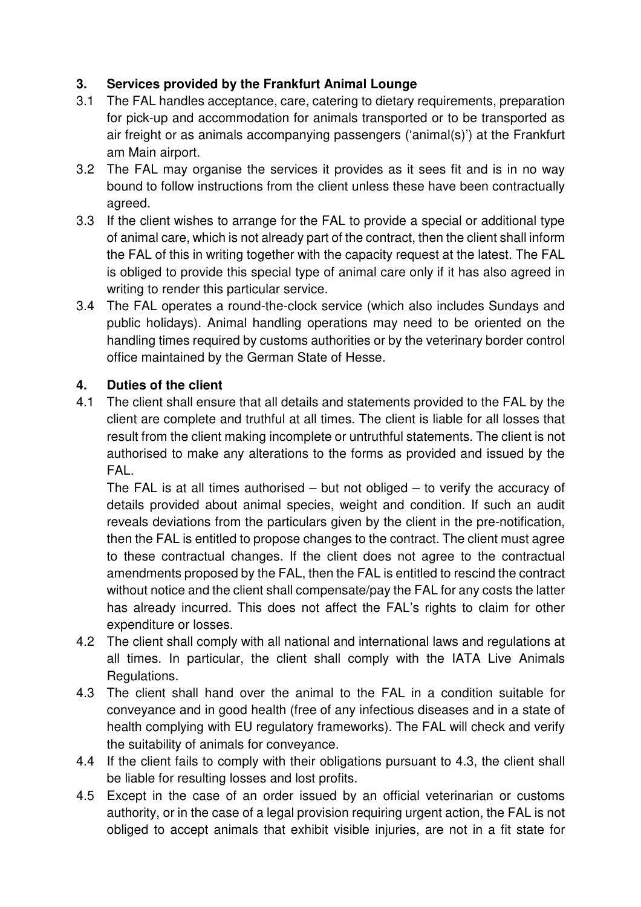# **3. Services provided by the Frankfurt Animal Lounge**

- 3.1 The FAL handles acceptance, care, catering to dietary requirements, preparation for pick-up and accommodation for animals transported or to be transported as air freight or as animals accompanying passengers ('animal(s)') at the Frankfurt am Main airport.
- 3.2 The FAL may organise the services it provides as it sees fit and is in no way bound to follow instructions from the client unless these have been contractually agreed.
- 3.3 If the client wishes to arrange for the FAL to provide a special or additional type of animal care, which is not already part of the contract, then the client shall inform the FAL of this in writing together with the capacity request at the latest. The FAL is obliged to provide this special type of animal care only if it has also agreed in writing to render this particular service.
- 3.4 The FAL operates a round-the-clock service (which also includes Sundays and public holidays). Animal handling operations may need to be oriented on the handling times required by customs authorities or by the veterinary border control office maintained by the German State of Hesse.

# **4. Duties of the client**

4.1 The client shall ensure that all details and statements provided to the FAL by the client are complete and truthful at all times. The client is liable for all losses that result from the client making incomplete or untruthful statements. The client is not authorised to make any alterations to the forms as provided and issued by the FAL.

The FAL is at all times authorised – but not obliged – to verify the accuracy of details provided about animal species, weight and condition. If such an audit reveals deviations from the particulars given by the client in the pre-notification, then the FAL is entitled to propose changes to the contract. The client must agree to these contractual changes. If the client does not agree to the contractual amendments proposed by the FAL, then the FAL is entitled to rescind the contract without notice and the client shall compensate/pay the FAL for any costs the latter has already incurred. This does not affect the FAL's rights to claim for other expenditure or losses.

- 4.2 The client shall comply with all national and international laws and regulations at all times. In particular, the client shall comply with the IATA Live Animals Regulations.
- 4.3 The client shall hand over the animal to the FAL in a condition suitable for conveyance and in good health (free of any infectious diseases and in a state of health complying with EU regulatory frameworks). The FAL will check and verify the suitability of animals for conveyance.
- 4.4 If the client fails to comply with their obligations pursuant to 4.3, the client shall be liable for resulting losses and lost profits.
- 4.5 Except in the case of an order issued by an official veterinarian or customs authority, or in the case of a legal provision requiring urgent action, the FAL is not obliged to accept animals that exhibit visible injuries, are not in a fit state for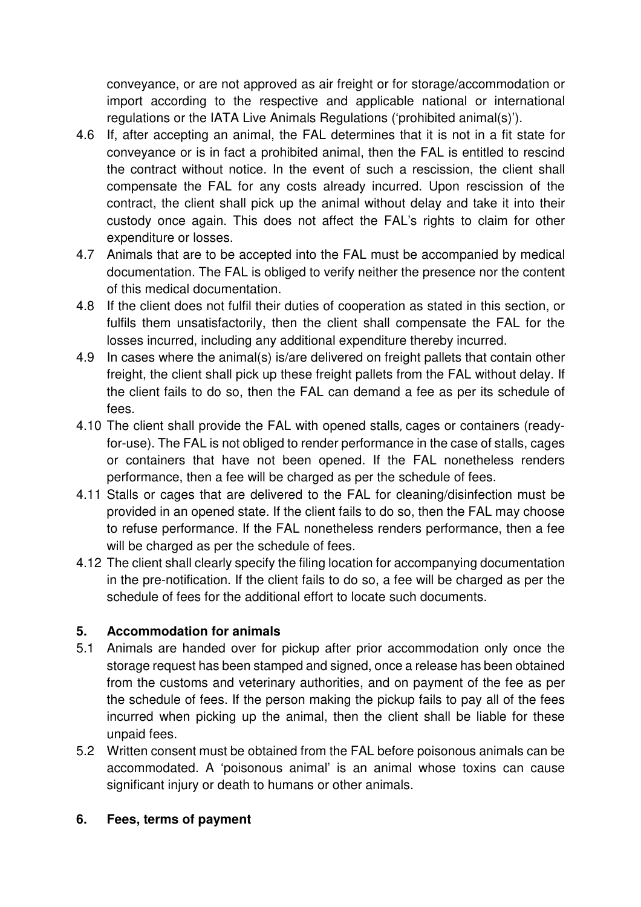conveyance, or are not approved as air freight or for storage/accommodation or import according to the respective and applicable national or international regulations or the IATA Live Animals Regulations ('prohibited animal(s)').

- 4.6 If, after accepting an animal, the FAL determines that it is not in a fit state for conveyance or is in fact a prohibited animal, then the FAL is entitled to rescind the contract without notice. In the event of such a rescission, the client shall compensate the FAL for any costs already incurred. Upon rescission of the contract, the client shall pick up the animal without delay and take it into their custody once again. This does not affect the FAL's rights to claim for other expenditure or losses.
- 4.7 Animals that are to be accepted into the FAL must be accompanied by medical documentation. The FAL is obliged to verify neither the presence nor the content of this medical documentation.
- 4.8 If the client does not fulfil their duties of cooperation as stated in this section, or fulfils them unsatisfactorily, then the client shall compensate the FAL for the losses incurred, including any additional expenditure thereby incurred.
- 4.9 In cases where the animal(s) is/are delivered on freight pallets that contain other freight, the client shall pick up these freight pallets from the FAL without delay. If the client fails to do so, then the FAL can demand a fee as per its schedule of fees.
- 4.10 The client shall provide the FAL with opened stalls, cages or containers (readyfor-use). The FAL is not obliged to render performance in the case of stalls, cages or containers that have not been opened. If the FAL nonetheless renders performance, then a fee will be charged as per the schedule of fees.
- 4.11 Stalls or cages that are delivered to the FAL for cleaning/disinfection must be provided in an opened state. If the client fails to do so, then the FAL may choose to refuse performance. If the FAL nonetheless renders performance, then a fee will be charged as per the schedule of fees.
- 4.12 The client shall clearly specify the filing location for accompanying documentation in the pre-notification. If the client fails to do so, a fee will be charged as per the schedule of fees for the additional effort to locate such documents.

# **5. Accommodation for animals**

- 5.1 Animals are handed over for pickup after prior accommodation only once the storage request has been stamped and signed, once a release has been obtained from the customs and veterinary authorities, and on payment of the fee as per the schedule of fees. If the person making the pickup fails to pay all of the fees incurred when picking up the animal, then the client shall be liable for these unpaid fees.
- 5.2 Written consent must be obtained from the FAL before poisonous animals can be accommodated. A 'poisonous animal' is an animal whose toxins can cause significant injury or death to humans or other animals.

# **6. Fees, terms of payment**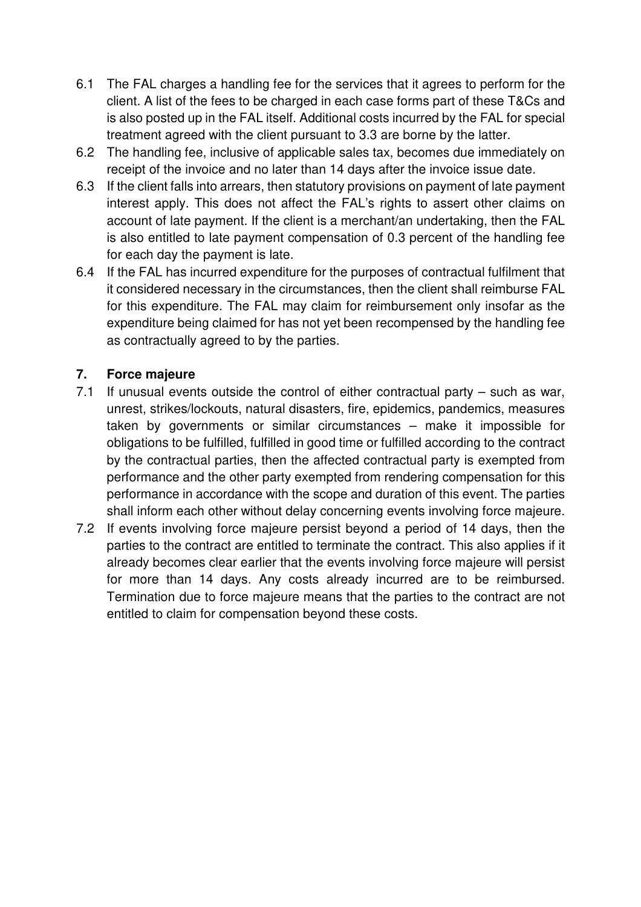- 6.1 The FAL charges a handling fee for the services that it agrees to perform for the client. A list of the fees to be charged in each case forms part of these T&Cs and is also posted up in the FAL itself. Additional costs incurred by the FAL for special treatment agreed with the client pursuant to 3.3 are borne by the latter.
- 6.2 The handling fee, inclusive of applicable sales tax, becomes due immediately on receipt of the invoice and no later than 14 days after the invoice issue date.
- 6.3 If the client falls into arrears, then statutory provisions on payment of late payment interest apply. This does not affect the FAL's rights to assert other claims on account of late payment. If the client is a merchant/an undertaking, then the FAL is also entitled to late payment compensation of 0.3 percent of the handling fee for each day the payment is late.
- 6.4 If the FAL has incurred expenditure for the purposes of contractual fulfilment that it considered necessary in the circumstances, then the client shall reimburse FAL for this expenditure. The FAL may claim for reimbursement only insofar as the expenditure being claimed for has not yet been recompensed by the handling fee as contractually agreed to by the parties.

# **7. Force majeure**

- 7.1 If unusual events outside the control of either contractual party such as war, unrest, strikes/lockouts, natural disasters, fire, epidemics, pandemics, measures taken by governments or similar circumstances – make it impossible for obligations to be fulfilled, fulfilled in good time or fulfilled according to the contract by the contractual parties, then the affected contractual party is exempted from performance and the other party exempted from rendering compensation for this performance in accordance with the scope and duration of this event. The parties shall inform each other without delay concerning events involving force majeure.
- 7.2 If events involving force majeure persist beyond a period of 14 days, then the parties to the contract are entitled to terminate the contract. This also applies if it already becomes clear earlier that the events involving force majeure will persist for more than 14 days. Any costs already incurred are to be reimbursed. Termination due to force majeure means that the parties to the contract are not entitled to claim for compensation beyond these costs.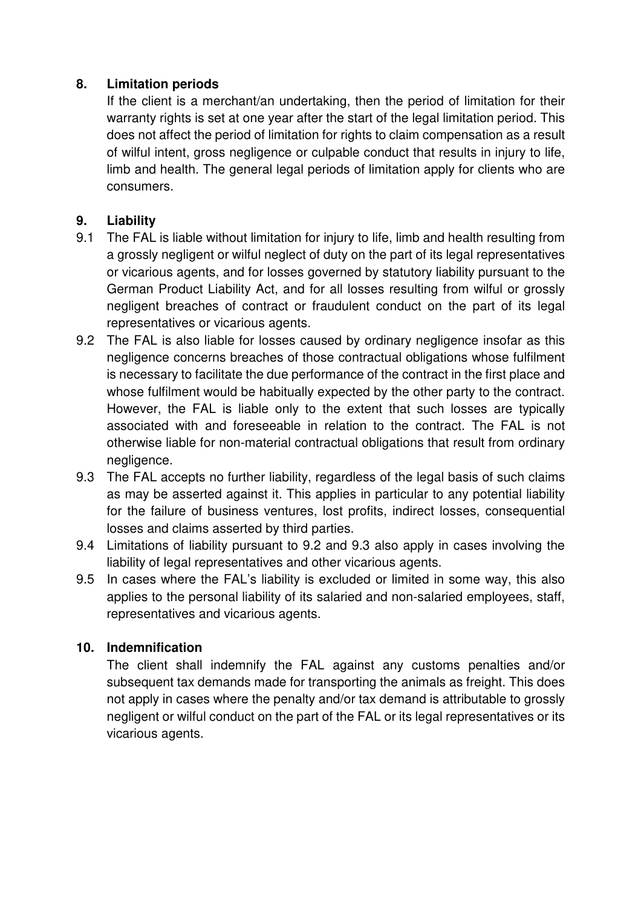## **8. Limitation periods**

If the client is a merchant/an undertaking, then the period of limitation for their warranty rights is set at one year after the start of the legal limitation period. This does not affect the period of limitation for rights to claim compensation as a result of wilful intent, gross negligence or culpable conduct that results in injury to life, limb and health. The general legal periods of limitation apply for clients who are consumers.

## **9. Liability**

- 9.1 The FAL is liable without limitation for injury to life, limb and health resulting from a grossly negligent or wilful neglect of duty on the part of its legal representatives or vicarious agents, and for losses governed by statutory liability pursuant to the German Product Liability Act, and for all losses resulting from wilful or grossly negligent breaches of contract or fraudulent conduct on the part of its legal representatives or vicarious agents.
- 9.2 The FAL is also liable for losses caused by ordinary negligence insofar as this negligence concerns breaches of those contractual obligations whose fulfilment is necessary to facilitate the due performance of the contract in the first place and whose fulfilment would be habitually expected by the other party to the contract. However, the FAL is liable only to the extent that such losses are typically associated with and foreseeable in relation to the contract. The FAL is not otherwise liable for non-material contractual obligations that result from ordinary negligence.
- 9.3 The FAL accepts no further liability, regardless of the legal basis of such claims as may be asserted against it. This applies in particular to any potential liability for the failure of business ventures, lost profits, indirect losses, consequential losses and claims asserted by third parties.
- 9.4 Limitations of liability pursuant to 9.2 and 9.3 also apply in cases involving the liability of legal representatives and other vicarious agents.
- 9.5 In cases where the FAL's liability is excluded or limited in some way, this also applies to the personal liability of its salaried and non-salaried employees, staff, representatives and vicarious agents.

#### **10. Indemnification**

The client shall indemnify the FAL against any customs penalties and/or subsequent tax demands made for transporting the animals as freight. This does not apply in cases where the penalty and/or tax demand is attributable to grossly negligent or wilful conduct on the part of the FAL or its legal representatives or its vicarious agents.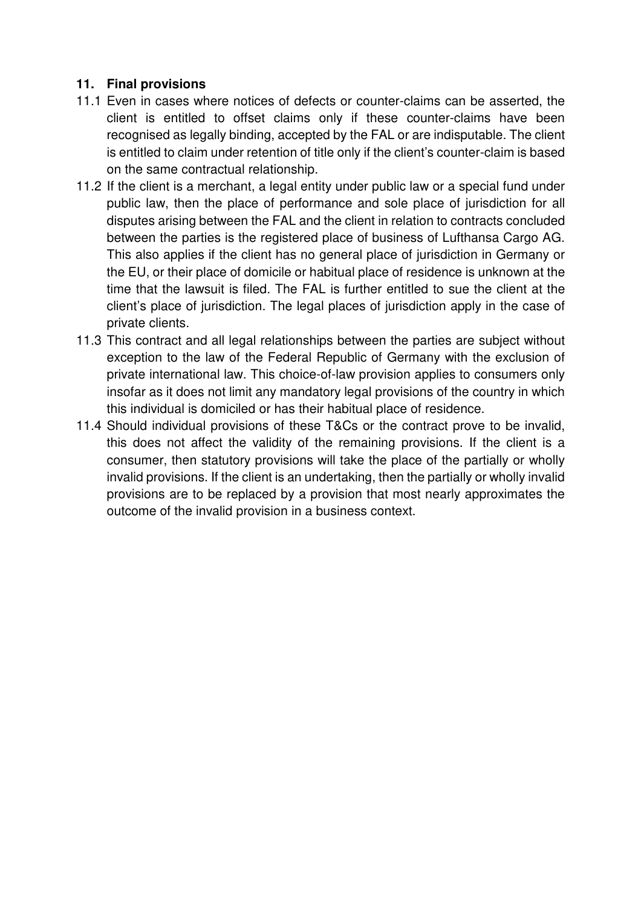## **11. Final provisions**

- 11.1 Even in cases where notices of defects or counter-claims can be asserted, the client is entitled to offset claims only if these counter-claims have been recognised as legally binding, accepted by the FAL or are indisputable. The client is entitled to claim under retention of title only if the client's counter-claim is based on the same contractual relationship.
- 11.2 If the client is a merchant, a legal entity under public law or a special fund under public law, then the place of performance and sole place of jurisdiction for all disputes arising between the FAL and the client in relation to contracts concluded between the parties is the registered place of business of Lufthansa Cargo AG. This also applies if the client has no general place of jurisdiction in Germany or the EU, or their place of domicile or habitual place of residence is unknown at the time that the lawsuit is filed. The FAL is further entitled to sue the client at the client's place of jurisdiction. The legal places of jurisdiction apply in the case of private clients.
- 11.3 This contract and all legal relationships between the parties are subject without exception to the law of the Federal Republic of Germany with the exclusion of private international law. This choice-of-law provision applies to consumers only insofar as it does not limit any mandatory legal provisions of the country in which this individual is domiciled or has their habitual place of residence.
- 11.4 Should individual provisions of these T&Cs or the contract prove to be invalid, this does not affect the validity of the remaining provisions. If the client is a consumer, then statutory provisions will take the place of the partially or wholly invalid provisions. If the client is an undertaking, then the partially or wholly invalid provisions are to be replaced by a provision that most nearly approximates the outcome of the invalid provision in a business context.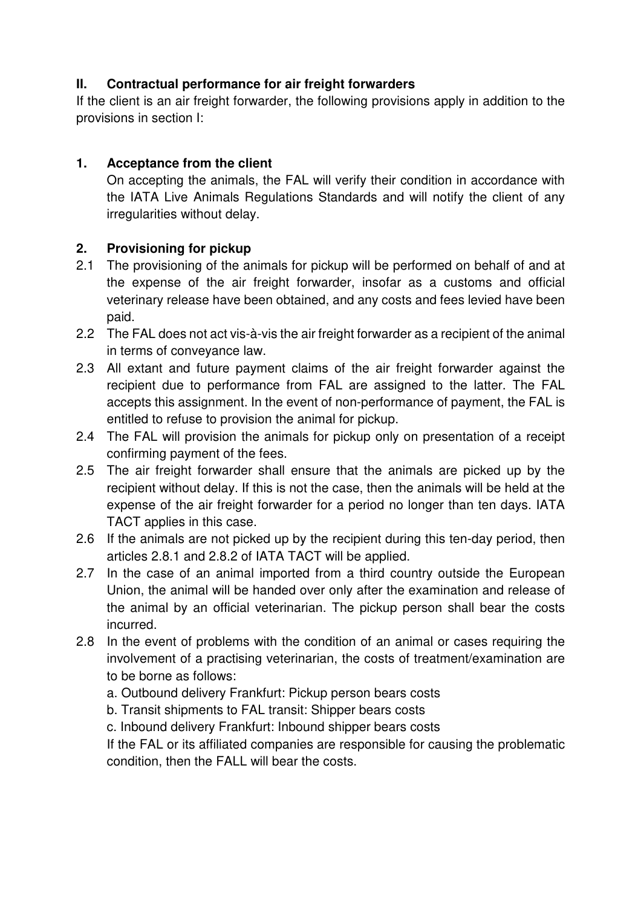# **II. Contractual performance for air freight forwarders**

If the client is an air freight forwarder, the following provisions apply in addition to the provisions in section I:

# **1. Acceptance from the client**

 On accepting the animals, the FAL will verify their condition in accordance with the IATA Live Animals Regulations Standards and will notify the client of any irregularities without delay.

# **2. Provisioning for pickup**

- 2.1 The provisioning of the animals for pickup will be performed on behalf of and at the expense of the air freight forwarder, insofar as a customs and official veterinary release have been obtained, and any costs and fees levied have been paid.
- 2.2 The FAL does not act vis-à-vis the air freight forwarder as a recipient of the animal in terms of conveyance law.
- 2.3 All extant and future payment claims of the air freight forwarder against the recipient due to performance from FAL are assigned to the latter. The FAL accepts this assignment. In the event of non-performance of payment, the FAL is entitled to refuse to provision the animal for pickup.
- 2.4 The FAL will provision the animals for pickup only on presentation of a receipt confirming payment of the fees.
- 2.5 The air freight forwarder shall ensure that the animals are picked up by the recipient without delay. If this is not the case, then the animals will be held at the expense of the air freight forwarder for a period no longer than ten days. IATA TACT applies in this case.
- 2.6 If the animals are not picked up by the recipient during this ten-day period, then articles 2.8.1 and 2.8.2 of IATA TACT will be applied.
- 2.7 In the case of an animal imported from a third country outside the European Union, the animal will be handed over only after the examination and release of the animal by an official veterinarian. The pickup person shall bear the costs incurred.
- 2.8 In the event of problems with the condition of an animal or cases requiring the involvement of a practising veterinarian, the costs of treatment/examination are to be borne as follows:
	- a. Outbound delivery Frankfurt: Pickup person bears costs
	- b. Transit shipments to FAL transit: Shipper bears costs
	- c. Inbound delivery Frankfurt: Inbound shipper bears costs

If the FAL or its affiliated companies are responsible for causing the problematic condition, then the FALL will bear the costs.